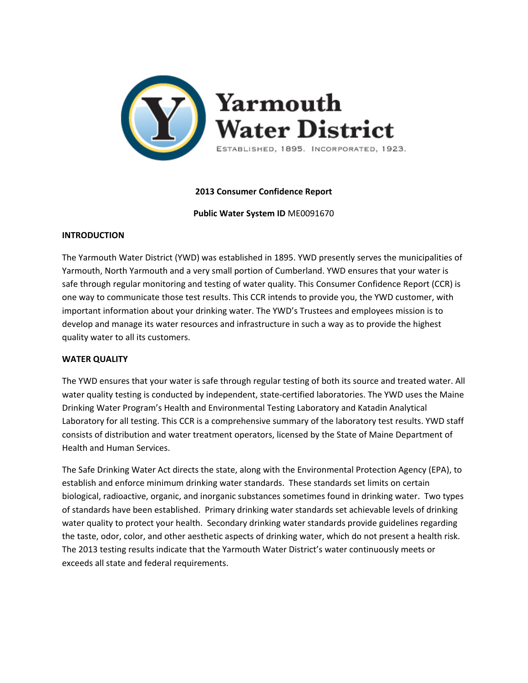

# **2013 Consumer Confidence Report**

**Public Water System ID** ME0091670

## **INTRODUCTION**

The Yarmouth Water District (YWD) was established in 1895. YWD presently serves the municipalities of Yarmouth, North Yarmouth and a very small portion of Cumberland. YWD ensures that your water is safe through regular monitoring and testing of water quality. This Consumer Confidence Report (CCR) is one way to communicate those test results. This CCR intends to provide you, the YWD customer, with important information about your drinking water. The YWD's Trustees and employees mission is to develop and manage its water resources and infrastructure in such a way as to provide the highest quality water to all its customers.

# **WATER QUALITY**

The YWD ensures that your water is safe through regular testing of both its source and treated water. All water quality testing is conducted by independent, state-certified laboratories. The YWD uses the Maine Drinking Water Program's Health and Environmental Testing Laboratory and Katadin Analytical Laboratory for all testing. This CCR is a comprehensive summary of the laboratory test results. YWD staff consists of distribution and water treatment operators, licensed by the State of Maine Department of Health and Human Services.

The Safe Drinking Water Act directs the state, along with the Environmental Protection Agency (EPA), to establish and enforce minimum drinking water standards. These standards set limits on certain biological, radioactive, organic, and inorganic substances sometimes found in drinking water. Two types of standards have been established. Primary drinking water standards set achievable levels of drinking water quality to protect your health. Secondary drinking water standards provide guidelines regarding the taste, odor, color, and other aesthetic aspects of drinking water, which do not present a health risk. The 2013 testing results indicate that the Yarmouth Water District's water continuously meets or exceeds all state and federal requirements.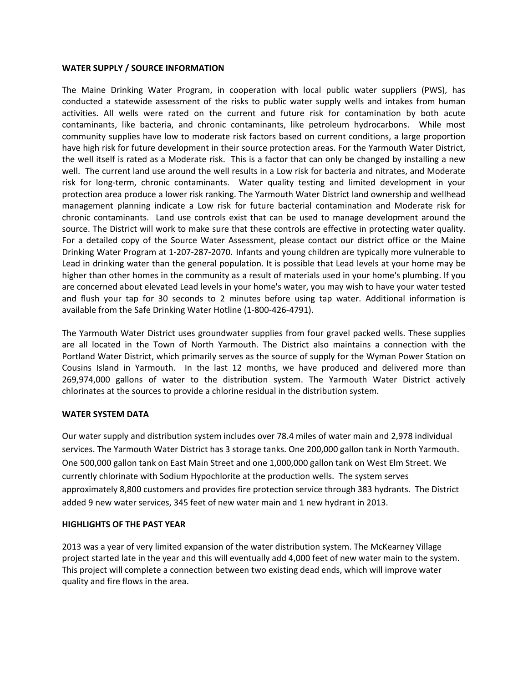## **WATER SUPPLY / SOURCE INFORMATION**

The Maine Drinking Water Program, in cooperation with local public water suppliers (PWS), has conducted a statewide assessment of the risks to public water supply wells and intakes from human activities. All wells were rated on the current and future risk for contamination by both acute contaminants, like bacteria, and chronic contaminants, like petroleum hydrocarbons. While most community supplies have low to moderate risk factors based on current conditions, a large proportion have high risk for future development in their source protection areas. For the Yarmouth Water District, the well itself is rated as a Moderate risk. This is a factor that can only be changed by installing a new well. The current land use around the well results in a Low risk for bacteria and nitrates, and Moderate risk for long‐term, chronic contaminants. Water quality testing and limited development in your protection area produce a lower risk ranking. The Yarmouth Water District land ownership and wellhead management planning indicate a Low risk for future bacterial contamination and Moderate risk for chronic contaminants. Land use controls exist that can be used to manage development around the source. The District will work to make sure that these controls are effective in protecting water quality. For a detailed copy of the Source Water Assessment, please contact our district office or the Maine Drinking Water Program at 1‐207‐287‐2070. Infants and young children are typically more vulnerable to Lead in drinking water than the general population. It is possible that Lead levels at your home may be higher than other homes in the community as a result of materials used in your home's plumbing. If you are concerned about elevated Lead levels in your home's water, you may wish to have your water tested and flush your tap for 30 seconds to 2 minutes before using tap water. Additional information is available from the Safe Drinking Water Hotline (1‐800‐426‐4791).

The Yarmouth Water District uses groundwater supplies from four gravel packed wells. These supplies are all located in the Town of North Yarmouth. The District also maintains a connection with the Portland Water District, which primarily serves as the source of supply for the Wyman Power Station on Cousins Island in Yarmouth. In the last 12 months, we have produced and delivered more than 269,974,000 gallons of water to the distribution system. The Yarmouth Water District actively chlorinates at the sources to provide a chlorine residual in the distribution system.

#### **WATER SYSTEM DATA**

Our water supply and distribution system includes over 78.4 miles of water main and 2,978 individual services. The Yarmouth Water District has 3 storage tanks. One 200,000 gallon tank in North Yarmouth. One 500,000 gallon tank on East Main Street and one 1,000,000 gallon tank on West Elm Street. We currently chlorinate with Sodium Hypochlorite at the production wells. The system serves approximately 8,800 customers and provides fire protection service through 383 hydrants. The District added 9 new water services, 345 feet of new water main and 1 new hydrant in 2013.

#### **HIGHLIGHTS OF THE PAST YEAR**

2013 was a year of very limited expansion of the water distribution system. The McKearney Village project started late in the year and this will eventually add 4,000 feet of new water main to the system. This project will complete a connection between two existing dead ends, which will improve water quality and fire flows in the area.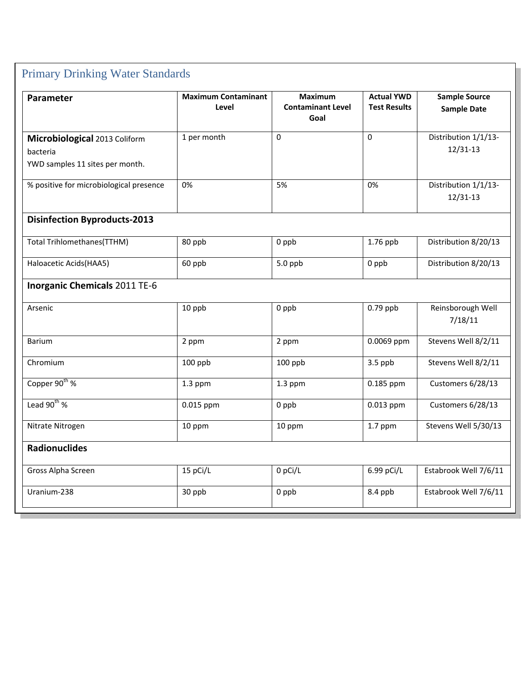| Parameter                                                                    | <b>Maximum Contaminant</b><br>Level | <b>Maximum</b><br><b>Contaminant Level</b><br>Goal | <b>Actual YWD</b><br><b>Test Results</b> | <b>Sample Source</b><br><b>Sample Date</b> |
|------------------------------------------------------------------------------|-------------------------------------|----------------------------------------------------|------------------------------------------|--------------------------------------------|
| Microbiological 2013 Coliform<br>bacteria<br>YWD samples 11 sites per month. | 1 per month                         | 0                                                  | 0                                        | Distribution 1/1/13-<br>$12/31-13$         |
| % positive for microbiological presence                                      | 0%                                  | 5%                                                 | 0%                                       | Distribution 1/1/13-<br>12/31-13           |
| <b>Disinfection Byproducts-2013</b>                                          |                                     |                                                    |                                          |                                            |
| Total Trihlomethanes(TTHM)                                                   | 80 ppb                              | 0 ppb                                              | 1.76 ppb                                 | Distribution 8/20/13                       |
| Haloacetic Acids(HAA5)                                                       | 60 ppb                              | 5.0 ppb                                            | 0 ppb                                    | Distribution 8/20/13                       |
| <b>Inorganic Chemicals 2011 TE-6</b>                                         |                                     |                                                    |                                          |                                            |
| Arsenic                                                                      | 10 ppb                              | 0 ppb                                              | $0.79$ ppb                               | Reinsborough Well<br>7/18/11               |
| Barium                                                                       | 2 ppm                               | 2 ppm                                              | 0.0069 ppm                               | Stevens Well 8/2/11                        |
| Chromium                                                                     | 100 ppb                             | 100 ppb                                            | $3.5$ ppb                                | Stevens Well 8/2/11                        |
| Copper 90 <sup>th</sup> %                                                    | $1.3$ ppm                           | $1.3$ ppm                                          | 0.185 ppm                                | Customers 6/28/13                          |
| Lead $90^{th}$ %                                                             | 0.015 ppm                           | $0$ ppb                                            | 0.013 ppm                                | Customers 6/28/13                          |
| Nitrate Nitrogen                                                             | 10 ppm                              | 10 ppm                                             | $1.7$ ppm                                | Stevens Well 5/30/13                       |
| <b>Radionuclides</b>                                                         |                                     |                                                    |                                          |                                            |
| Gross Alpha Screen                                                           | 15 pCi/L                            | 0 pCi/L                                            | 6.99 pCi/L                               | Estabrook Well 7/6/11                      |
| Uranium-238                                                                  | 30 ppb                              | 0 ppb                                              | 8.4 ppb                                  | Estabrook Well 7/6/11                      |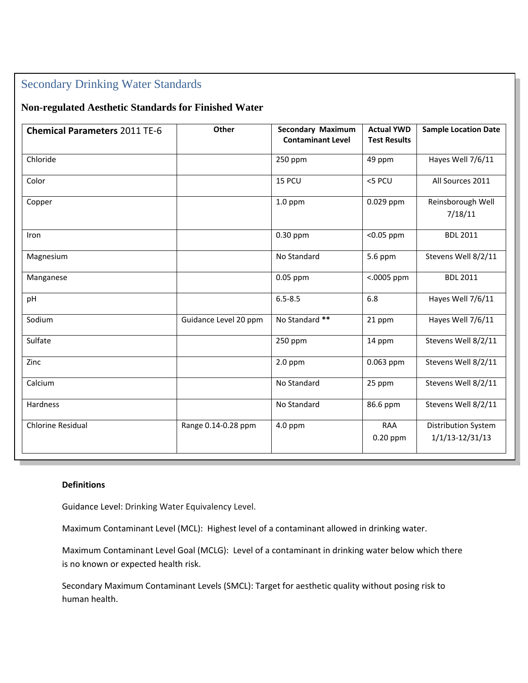# Secondary Drinking Water Standards

# **Non-regulated Aesthetic Standards for Finished Water**

| <b>Chemical Parameters 2011 TE-6</b> | Other                 | <b>Secondary Maximum</b><br><b>Contaminant Level</b> | <b>Actual YWD</b><br><b>Test Results</b> | <b>Sample Location Date</b>                       |
|--------------------------------------|-----------------------|------------------------------------------------------|------------------------------------------|---------------------------------------------------|
| Chloride                             |                       | 250 ppm                                              | 49 ppm                                   | Hayes Well 7/6/11                                 |
| Color                                |                       | 15 PCU                                               | <5 PCU                                   | All Sources 2011                                  |
| Copper                               |                       | $1.0$ ppm                                            | 0.029 ppm                                | Reinsborough Well<br>7/18/11                      |
| Iron                                 |                       | 0.30 ppm                                             | <0.05 ppm                                | <b>BDL 2011</b>                                   |
| Magnesium                            |                       | No Standard                                          | 5.6 ppm                                  | Stevens Well 8/2/11                               |
| Manganese                            |                       | 0.05 ppm                                             | $<.0005$ ppm                             | <b>BDL 2011</b>                                   |
| pH                                   |                       | $6.5 - 8.5$                                          | 6.8                                      | Hayes Well 7/6/11                                 |
| Sodium                               | Guidance Level 20 ppm | No Standard **                                       | 21 ppm                                   | Hayes Well 7/6/11                                 |
| Sulfate                              |                       | 250 ppm                                              | 14 ppm                                   | Stevens Well 8/2/11                               |
| Zinc                                 |                       | $2.0$ ppm                                            | 0.063 ppm                                | Stevens Well 8/2/11                               |
| Calcium                              |                       | No Standard                                          | 25 ppm                                   | Stevens Well 8/2/11                               |
| Hardness                             |                       | No Standard                                          | 86.6 ppm                                 | Stevens Well 8/2/11                               |
| Chlorine Residual                    | Range 0.14-0.28 ppm   | $4.0$ ppm                                            | <b>RAA</b><br>$0.20$ ppm                 | <b>Distribution System</b><br>$1/1/13 - 12/31/13$ |

# **Definitions**

Guidance Level: Drinking Water Equivalency Level.

Maximum Contaminant Level (MCL): Highest level of a contaminant allowed in drinking water.

Maximum Contaminant Level Goal (MCLG): Level of a contaminant in drinking water below which there is no known or expected health risk.

Secondary Maximum Contaminant Levels (SMCL): Target for aesthetic quality without posing risk to human health.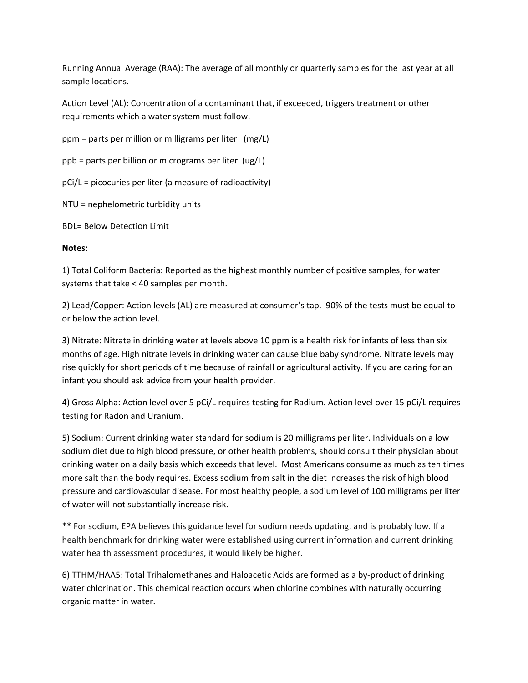Running Annual Average (RAA): The average of all monthly or quarterly samples for the last year at all sample locations.

Action Level (AL): Concentration of a contaminant that, if exceeded, triggers treatment or other requirements which a water system must follow.

 $ppm =$  parts per million or milligrams per liter  $(mg/L)$ 

ppb = parts per billion or micrograms per liter (ug/L)

pCi/L = picocuries per liter (a measure of radioactivity)

NTU = nephelometric turbidity units

BDL= Below Detection Limit

## **Notes:**

1) Total Coliform Bacteria: Reported as the highest monthly number of positive samples, for water systems that take < 40 samples per month.

2) Lead/Copper: Action levels (AL) are measured at consumer's tap. 90% of the tests must be equal to or below the action level.

3) Nitrate: Nitrate in drinking water at levels above 10 ppm is a health risk for infants of less than six months of age. High nitrate levels in drinking water can cause blue baby syndrome. Nitrate levels may rise quickly for short periods of time because of rainfall or agricultural activity. If you are caring for an infant you should ask advice from your health provider.

4) Gross Alpha: Action level over 5 pCi/L requires testing for Radium. Action level over 15 pCi/L requires testing for Radon and Uranium.

5) Sodium: Current drinking water standard for sodium is 20 milligrams per liter. Individuals on a low sodium diet due to high blood pressure, or other health problems, should consult their physician about drinking water on a daily basis which exceeds that level. Most Americans consume as much as ten times more salt than the body requires. Excess sodium from salt in the diet increases the risk of high blood pressure and cardiovascular disease. For most healthy people, a sodium level of 100 milligrams per liter of water will not substantially increase risk.

**\*\*** For sodium, EPA believes this guidance level for sodium needs updating, and is probably low. If a health benchmark for drinking water were established using current information and current drinking water health assessment procedures, it would likely be higher.

6) TTHM/HAA5: Total Trihalomethanes and Haloacetic Acids are formed as a by‐product of drinking water chlorination. This chemical reaction occurs when chlorine combines with naturally occurring organic matter in water.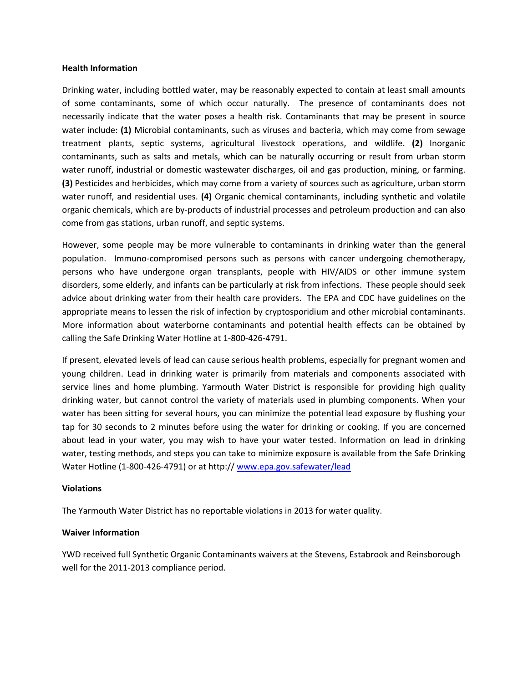#### **Health Information**

Drinking water, including bottled water, may be reasonably expected to contain at least small amounts of some contaminants, some of which occur naturally. The presence of contaminants does not necessarily indicate that the water poses a health risk. Contaminants that may be present in source water include: **(1)** Microbial contaminants, such as viruses and bacteria, which may come from sewage treatment plants, septic systems, agricultural livestock operations, and wildlife. **(2)** Inorganic contaminants, such as salts and metals, which can be naturally occurring or result from urban storm water runoff, industrial or domestic wastewater discharges, oil and gas production, mining, or farming. **(3)** Pesticides and herbicides, which may come from a variety of sources such as agriculture, urban storm water runoff, and residential uses. **(4)** Organic chemical contaminants, including synthetic and volatile organic chemicals, which are by‐products of industrial processes and petroleum production and can also come from gas stations, urban runoff, and septic systems.

However, some people may be more vulnerable to contaminants in drinking water than the general population. Immuno-compromised persons such as persons with cancer undergoing chemotherapy, persons who have undergone organ transplants, people with HIV/AIDS or other immune system disorders, some elderly, and infants can be particularly at risk from infections. These people should seek advice about drinking water from their health care providers. The EPA and CDC have guidelines on the appropriate means to lessen the risk of infection by cryptosporidium and other microbial contaminants. More information about waterborne contaminants and potential health effects can be obtained by calling the Safe Drinking Water Hotline at 1‐800‐426‐4791.

If present, elevated levels of lead can cause serious health problems, especially for pregnant women and young children. Lead in drinking water is primarily from materials and components associated with service lines and home plumbing. Yarmouth Water District is responsible for providing high quality drinking water, but cannot control the variety of materials used in plumbing components. When your water has been sitting for several hours, you can minimize the potential lead exposure by flushing your tap for 30 seconds to 2 minutes before using the water for drinking or cooking. If you are concerned about lead in your water, you may wish to have your water tested. Information on lead in drinking water, testing methods, and steps you can take to minimize exposure is available from the Safe Drinking Water Hotline (1‐800‐426‐4791) or at http:// www.epa.gov.safewater/lead

#### **Violations**

The Yarmouth Water District has no reportable violations in 2013 for water quality.

## **Waiver Information**

YWD received full Synthetic Organic Contaminants waivers at the Stevens, Estabrook and Reinsborough well for the 2011‐2013 compliance period.